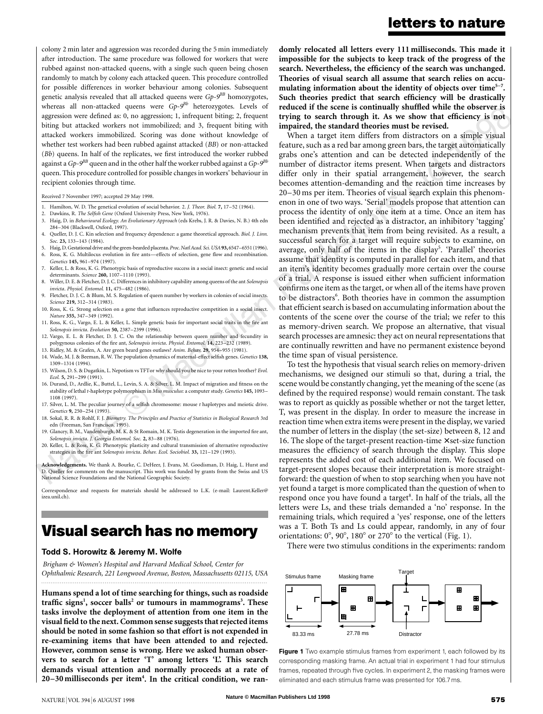colony 2 min later and aggression was recorded during the 5 min immediately after introduction. The same procedure was followed for workers that were rubbed against non-attacked queens, with a single such queen being chosen randomly to match by colony each attacked queen. This procedure controlled for possible differences in worker behaviour among colonies. Subsequent genetic analysis revealed that all attacked queens were *Gp-9BB* homozygotes, whereas all non-attacked queens were  $Gp-9^{Bb}$  heterozygotes. Levels of aggression were defined as: 0, no aggression; 1, infrequent biting; 2, frequent biting but attacked workers not immobilized; and 3, frequent biting with attacked workers immobilized. Scoring was done without knowledge of whether test workers had been rubbed against attacked (*BB*) or non-attacked (*Bb*) queens. In half of the replicates, we first introduced the worker rubbed against a *Gp-9BB* queen and in the other half the worker rubbed against a *Gp-9Bb* queen. This procedure controlled for possible changes in workers' behaviour in recipient colonies through time.

Received 7 November 1997; accepted 29 May 1998.

- 1. Hamilton, W. D. The genetical evolution of social behavior. 2. *J. Theor. Biol.* **7,** 17–52 (1964).
- 2. Dawkins, R. *The Selfish Gene* (Oxford University Press, New York, 1976).
- 3. Haig, D. in *Behavioural Ecology. An Evolutionary Approach* (eds Krebs, J. R. & Davies, N. B.) 4th edn 284–304 (Blackwell, Oxford, 1997). 4. Queller, D. J. C. Kin selection and frequency dependence: a game theoretical approach. *Biol. J. Linn.*
- *Soc.* **23,** 133–143 (1984).
- 5. Haig, D. Gestational drive and the green-bearded placenta. *Proc. Natl Acad. Sci. USA***93,** 6547–6551 (1996). 6. Ross, K. G. Multilocus evolution in fire ants—effects of selection, gene flow and recombination. *Genetics* **145,** 961–974 (1997).
- 7. Keller, L. & Ross, K. G. Phenotypic basis of reproductive success in a social insect: genetic and social determinants. *Science* **260,** 1107–1110 (1993).
- 8. Willer, D. E. & Fletcher, D. J. C. Differences in inhibitory capability among queens of the ant *Solenopsis invicta*. *Physiol. Entomol.* **11,** 475–482 (1986).
- 9. Fletcher, D. J. C. & Blum, M. S. Regulation of queen number by workers in colonies of social insects. *Science* **219,** 312–314 (1983).
- 10. Ross, K. G. Strong selection on a gene that influences reproductive competition in a social insect. *Nature* **355,** 347–349 (1992).
- 11. Ross, K. G., Vargo, E. L. & Keller, L. Simple genetic basis for important social traits in the fire ant *Solenopsis invicta*. *Evolution* **50,** 2387–2399 (1996).
- 12. Vargo, E. L. & Fletcher, D. J. C. On the relationship between queen number and fecundity in polygynous colonies of the fire ant, *Solenopsis invicta*. *Physiol. Entomol.* **14,** 223–232 (1989).
- 13. Ridley, M. & Grafen, A. Are green beard genes outlaws? *Anim. Behav.* **29,** 954–955 (1981).
- 14. Wade, M. J. & Beeman, R. W. The population dynamics of maternal-effect selfish genes. *Genetics* **138,** 1309–1314 (1994).
- 15. Wilson, D. S. & Dugatkin, L. Nepotism vs TFTor why should you be nice to your rotten brother? *Evol. Ecol.* **5,** 291–299 (1991).
- 16. Durand, D., Ardlie, K., Buttel, L., Levin, S. A. & Silver, L. M. Impact of migration and fitness on the stability of lethal *t*-haplotype polymorphism in *Mus musculus*: a computer study. *Genetics* **145,** 1093– 1108 (1997).
- 17. Silver, L. M. The peculiar journey of a selfish chromosome: mouse *t* haplotypes and meiotic drive. *Genetics* **9,** 250–254 (1993).
- 18. Sokal, R. R. & Rohlf, F. J. *Biometry. The Principles and Practice of Statistics in Biological Research* 3rd edn (Freeman, San Francisco, 1995).
- 19. Glancey, B. M., Vandenburgh, M. K. & St Romain, M. K. Testis degeneration in the imported fire ant, *Solenopsis invicta*. *J. Georgia Entomol. Soc.* **2,** 83–88 (1976).
- 20. Keller, L. & Ross, K. G. Phenotypic plasticity and cultural transmission of alternative reproductive strategies in the fire ant *Solenopsis invicta*. *Behav. Ecol. Sociobiol.* **33,** 121–129 (1993).

**Acknowledgements.** We thank A. Bourke, C. DeHeer, J. Evans, M. Goodisman, D. Haig, L. Hurst and D. Queller for comments on the manuscript. This work was funded by grants from the Swiss and US National Science Foundations and the National Geographic Society.

Correspondence and requests for materials should be addressed to L.K. (e-mail: Laurent.Keller@ izea.unil.ch).

## **Visual search has no memory**

### Todd S. Horowitz & Jeremy M. Wolfe

*Brigham & Women's Hospital and Harvard Medical School, Center for Ophthalmic Research, 221 Longwood Avenue, Boston, Massachusetts 02115, USA .........................................................................................................................*

**Humans spend a lot of time searching for things, such as roadside** traffic signs<sup>1</sup>, soccer balls<sup>2</sup> or tumours in mammograms<sup>3</sup>. These **tasks involve the deployment of attention from one item in the visual field to the next. Common sense suggests that rejected items should be noted in some fashion so that effort is not expended in re-examining items that have been attended to and rejected. However, common sense is wrong. Here we asked human observers to search for a letter 'T' among letters 'L'. This search demands visual attention and normally proceeds at a rate of 20–30 milliseconds per item4 . In the critical condition, we ran-**

 $\begin{array}{c}\n\text{er is} \\
\text{f not} \\
\end{array}$ **domly relocated all letters every 111 milliseconds. This made it impossible for the subjects to keep track of the progress of the search. Nevertheless, the efficiency of the search was unchanged. Theories of visual search all assume that search relies on accumulating information about the identity of objects over time5–7. Such theories predict that search efficiency will be drastically reduced if the scene is continually shuffled while the observer is trying to search through it. As we show that efficiency is not impaired, the standard theories must be revised.**

When a target item differs from distractors on a simple visual feature, such as a red bar among green bars, the target automatically grabs one's attention and can be detected independently of the number of distractor items present. When targets and distractors differ only in their spatial arrangement, however, the search becomes attention-demanding and the reaction time increases by 20–30 ms per item. Theories of visual search explain this phenomenon in one of two ways. 'Serial' models propose that attention can process the identity of only one item at a time. Once an item has been identified and rejected as a distractor, an inhibitory 'tagging' mechanism prevents that item from being revisited. As a result, a successful search for a target will require subjects to examine, on average, only half of the items in the display<sup>5</sup>. 'Parallel' theories assume that identity is computed in parallel for each item, and that an item's identity becomes gradually more certain over the course of a trial. A response is issued either when sufficient information confirms one item as the target, or when all of the items have proven to be distractors<sup>6</sup>. Both theories have in common the assumption that efficient search is based on accumulating information about the contents of the scene over the course of the trial; we refer to this as memory-driven search. We propose an alternative, that visual search processes are amnesic: they act on neural representations that are continually rewritten and have no permanent existence beyond the time span of visual persistence.

To test the hypothesis that visual search relies on memory-driven mechanisms, we designed our stimuli so that, during a trial, the scene would be constantly changing, yet the meaning of the scene (as defined by the required response) would remain constant. The task was to report as quickly as possible whether or not the target letter, T, was present in the display. In order to measure the increase in reaction time when extra items were present in the display, we varied the number of letters in the display (the set-size) between 8, 12 and 16. The slope of the target-present reaction-time  $\times$  set-size function measures the efficiency of search through the display. This slope represents the added cost of each additional item. We focused on target-present slopes because their interpretation is more straightforward: the question of when to stop searching when you have not yet found a target is more complicated than the question of when to respond once you have found a target<sup>8</sup>. In half of the trials, all the letters were Ls, and these trials demanded a 'no' response. In the remaining trials, which required a 'yes' response, one of the letters was a T. Both Ts and Ls could appear, randomly, in any of four orientations:  $0^\circ$ ,  $90^\circ$ ,  $180^\circ$  or  $270^\circ$  to the vertical (Fig. 1).

There were two stimulus conditions in the experiments: random



Figure 1 Two example stimulus frames from experiment 1, each followed by its corresponding masking frame. An actual trial in experiment 1 had four stimulus frames, repeated through five cycles. In experiment 2, the masking frames were eliminated and each stimulus frame was presented for 106.7 ms.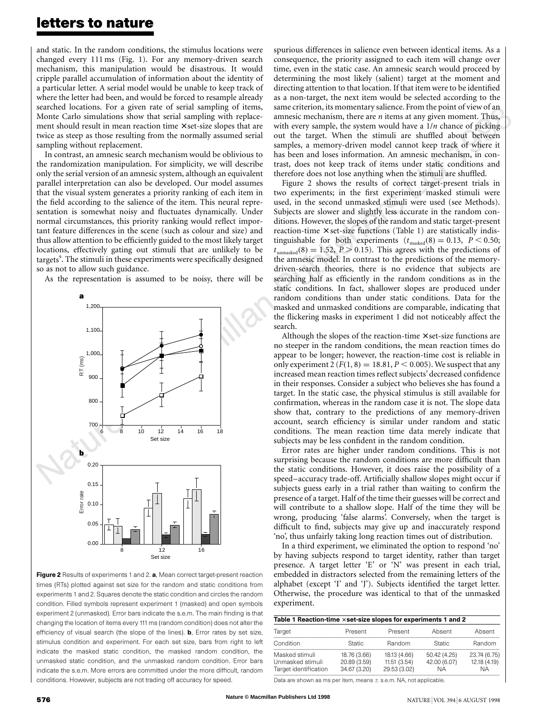### **letters to nature**

and static. In the random conditions, the stimulus locations were changed every 111 ms (Fig. 1). For any memory-driven search mechanism, this manipulation would be disastrous. It would cripple parallel accumulation of information about the identity of a particular letter. A serial model would be unable to keep track of where the letter had been, and would be forced to resample already searched locations. For a given rate of serial sampling of items, Monte Carlo simulations show that serial sampling with replacement should result in mean reaction time  $\times$  set-size slopes that are twice as steep as those resulting from the normally assumed serial sampling without replacement.

In contrast, an amnesic search mechanism would be oblivious to the randomization manipulation. For simplicity, we will describe only the serial version of an amnesic system, although an equivalent parallel interpretation can also be developed. Our model assumes that the visual system generates a priority ranking of each item in the field according to the salience of the item. This neural representation is somewhat noisy and fluctuates dynamically. Under normal circumstances, this priority ranking would reflect important feature differences in the scene (such as colour and size) and thus allow attention to be efficiently guided to the most likely target locations, effectively gating out stimuli that are unlikely to be targets<sup>9</sup>. The stimuli in these experiments were specifically designed so as not to allow such guidance.

As the representation is assumed to be noisy, there will be



Figure 2 Results of experiments 1 and 2. a, Mean correct target-present reaction times (RTs) plotted against set size for the random and static conditions from experiments 1 and 2. Squares denote the static condition and circles the random condition. Filled symbols represent experiment 1 (masked) and open symbols experiment 2 (unmasked). Error bars indicate the s.e.m. The main finding is that changing the location of items every 111 ms (random condition) does not alter the efficiency of visual search (the slope of the lines). **b**, Error rates by set size, stimulus condition and experiment. For each set size, bars from right to left indicate the masked static condition, the masked random condition, the unmasked static condition, and the unmasked random condition. Error bars indicate the s.e.m. More errors are committed under the more difficult, random conditions. However, subjects are not trading off accuracy for speed.

t an<br>1us,<br>.ing spurious differences in salience even between identical items. As a consequence, the priority assigned to each item will change over time, even in the static case. An amnesic search would proceed by determining the most likely (salient) target at the moment and directing attention to that location. If that item were to be identified as a non-target, the next item would be selected according to the same criterion, its momentary salience. From the point of viewof an amnesic mechanism, there are *n* items at any given moment. Thus, with every sample, the system would have a 1/*n* chance of picking out the target. When the stimuli are shuffled about between samples, a memory-driven model cannot keep track of where it has been and loses information. An amnesic mechanism, in contrast, does not keep track of items under static conditions and therefore does not lose anything when the stimuli are shuffled.

Figure 2 shows the results of correct target-present trials in two experiments; in the first experiment masked stimuli were used, in the second unmasked stimuli were used (see Methods). Subjects are slower and slightly less accurate in the random conditions. However, the slopes of the random and static target-present reaction-time  $\times$  set-size functions (Table 1) are statistically indistinguishable for both experiments  $(t_{\text{masked}}(8) = 0.13, P < 0.50;$  $t_{\text{unmasked}}(8) = 1.52, P > 0.15$ . This agrees with the predictions of the amnesic model. In contrast to the predictions of the memorydriven-search theories, there is no evidence that subjects are searching half as efficiently in the random conditions as in the static conditions. In fact, shallower slopes are produced under random conditions than under static conditions. Data for the masked and unmasked conditions are comparable, indicating that the flickering masks in experiment 1 did not noticeably affect the search.

Although the slopes of the reaction-time  $\times$  set-size functions are no steeper in the random conditions, the mean reaction times do appear to be longer; however, the reaction-time cost is reliable in only experiment 2 ( $F(1, 8) = 18.81, P \le 0.005$ ). We suspect that any increased mean reaction times reflect subjects' decreased confidence in their responses. Consider a subject who believes she has found a target. In the static case, the physical stimulus is still available for confirmation, whereas in the random case it is not. The slope data show that, contrary to the predictions of any memory-driven account, search efficiency is similar under random and static conditions. The mean reaction time data merely indicate that subjects may be less confident in the random condition.

Error rates are higher under random conditions. This is not surprising because the random conditions are more difficult than the static conditions. However, it does raise the possibility of a speed–accuracy trade-off. Artificially shallow slopes might occur if subjects guess early in a trial rather than waiting to confirm the presence of a target. Half of the time their guesses will be correct and will contribute to a shallow slope. Half of the time they will be wrong, producing 'false alarms'. Conversely, when the target is difficult to find, subjects may give up and inaccurately respond 'no', thus unfairly taking long reaction times out of distribution.

In a third experiment, we eliminated the option to respond 'no' by having subjects respond to target identity, rather than target presence. A target letter 'E' or 'N' was present in each trial, embedded in distractors selected from the remaining letters of the alphabet (except 'I' and 'J'). Subjects identified the target letter. Otherwise, the procedure was identical to that of the unmasked experiment.

| Table 1 Reaction-time $\times$ set-size slopes for experiments 1 and 2 |                                              |                                              |                                           |                                           |
|------------------------------------------------------------------------|----------------------------------------------|----------------------------------------------|-------------------------------------------|-------------------------------------------|
| Target                                                                 | Present                                      | Present                                      | Absent                                    | Absent                                    |
| Condition                                                              | <b>Static</b>                                | Random                                       | <b>Static</b>                             | Random                                    |
| Masked stimuli<br>Unmasked stimuli<br>Target identification            | 18.76 (3.66)<br>20.89 (3.59)<br>34.67 (3.20) | 18.13 (4.66)<br>11.51 (3.54)<br>29.53 (3.02) | 50.42 (4.25)<br>42.00 (6.07)<br><b>NA</b> | 23.74 (6.75)<br>12.18 (4.19)<br><b>NA</b> |

Data are shown as ms per item, means  $\pm$  s.e.m. NA, not applicable.